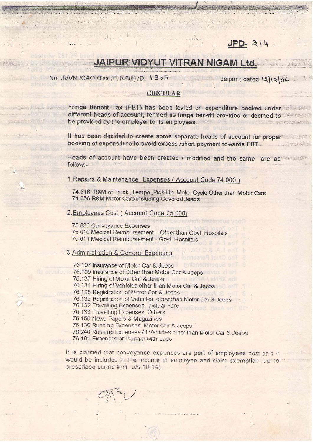# $JPD-214$

# JAIPUR VIDYUT VITRAN NIGAM Ltd.

## No. JVVN / CAO / Tax / F.146(ii) / D. 1905

sistic of ames

Jaipur; dated 12/12/06

#### **CIRCULAR**

Fringe Benefit Tax (FBT) has been levied on expenditure booked under different heads of account, termed as fringe benefit provided or deemed to an analyze be provided by the employer to its employees. of a variation for the

It has been decided to create some separate heads of account for proper booking of expenditure to avoid excess /short payment towards FBT.

Heads of account have been created / modified and the same are as follow:-

1. Repairs & Maintenance Expenses (Account Code 74.000)

74.616 R&M of Truck, Tempo, Pick-Up, Motor Cycle Other than Motor Cars 74.656 R&M Motor Cars including Covered Jeeps

#### 2. Employees Cost (Account Code 75.000)

75.632 Conveyance Expenses 75.610 Medical Reimbursement - Other than Govt. Hospitals 75.611 Medical Reimbursement - Govt. Hospitals

## 3. Administration & General Expenses

76.107 Insurance of Motor Car & Jeeps

76.109 Insurance of Other than Motor Car & Jeeps

76.137 Hiring of Motor Car & Jeeps

76.131 Hiring of Vehicles other than Motor Car & Jeeps

76.138 Registration of Motor Car & Jeeps

76.139 Registration of Vehicles other than Motor Car & Jeeps

76.132 Travelling Expenses Actual Fare

76.133 Travelling Expenses Others

76.150 News Papers & Magazines

76.136 Running Expenses Motor Car & Jeeps

76.240 Running Expenses of Vehicles other than Motor Car & Jeeps

76.191 Expenses of Planner with Logo

It is clarified that conveyance expenses are part of employees cost and it would be included in the income of employee and claim exemption up to prescribed ceiling limit u/s 10(14).